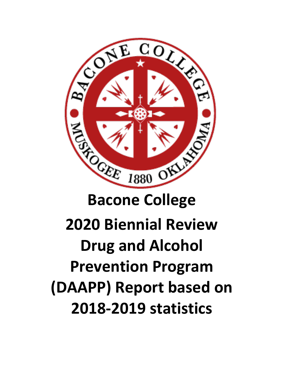

# **2020 Biennial Review Drug and Alcohol Prevention Program (DAAPP) Report based on 2018-2019 statistics**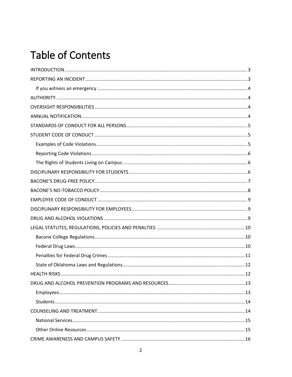# **Table of Contents**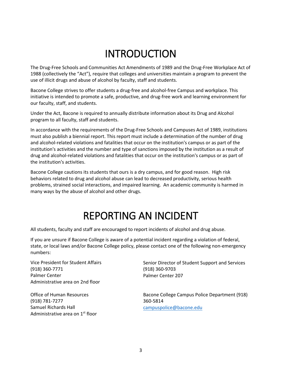### INTRODUCTION

<span id="page-2-0"></span>The Drug-Free Schools and Communities Act Amendments of 1989 and the Drug-Free Workplace Act of 1988 (collectively the "Act"), require that colleges and universities maintain a program to prevent the use of illicit drugs and abuse of alcohol by faculty, staff and students.

Bacone College strives to offer students a drug-free and alcohol-free Campus and workplace. This initiative is intended to promote a safe, productive, and drug-free work and learning environment for our faculty, staff, and students.

Under the Act, Bacone is required to annually distribute information about its Drug and Alcohol program to all faculty, staff and students.

In accordance with the requirements of the Drug-Free Schools and Campuses Act of 1989, institutions must also publish a biennial report. This report must include a determination of the number of drug and alcohol-related violations and fatalities that occur on the institution's campus or as part of the institution's activities and the number and type of sanctions imposed by the institution as a result of drug and alcohol-related violations and fatalities that occur on the institution's campus or as part of the institution's activities.

Bacone College cautions its students that ours is a dry campus, and for good reason. High risk behaviors related to drug and alcohol abuse can lead to decreased productivity, serious health problems, strained social interactions, and impaired learning. An academic community is harmed in many ways by the abuse of alcohol and other drugs.

### REPORTING AN INCIDENT

<span id="page-2-1"></span>All students, faculty and staff are encouraged to report incidents of alcohol and drug abuse.

If you are unsure if Bacone College is aware of a potential incident regarding a violation of federal, state, or local laws and/or Bacone College policy, please contact one of the following non-emergency numbers:

Vice President for Student Affairs (918) 360-7771 Palmer Center Administrative area on 2nd floor

Office of Human Resources (918) 781-7277 Samuel Richards Hall Administrative area on 1<sup>st</sup> floor Senior Director of Student Support and Services (918) 360-9703 Palmer Center 207

Bacone College Campus Police Department (918) 360-5814 [campuspolice@bacone.edu](mailto:campuspolice@bacone.edu)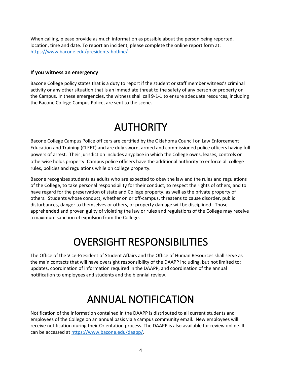When calling, please provide as much information as possible about the person being reported, location, time and date. To report an incident, please complete the online report form at: <https://www.bacone.edu/presidents-hotline/>

#### <span id="page-3-0"></span>**If you witness an emergency**

Bacone College policy states that is a duty to report if the student or staff member witness's criminal activity or any other situation that is an immediate threat to the safety of any person or property on the Campus. In these emergencies, the witness shall call 9-1-1 to ensure adequate resources, including the Bacone College Campus Police, are sent to the scene.

### **AUTHORITY**

<span id="page-3-1"></span>Bacone College Campus Police officers are certified by the Oklahoma Council on Law Enforcement Education and Training (CLEET) and are duly sworn, armed and commissioned police officers having full powers of arrest. Their jurisdiction includes anyplace in which the College owns, leases, controls or otherwise holds property. Campus police officers have the additional authority to enforce all college rules, policies and regulations while on college property.

Bacone recognizes students as adults who are expected to obey the law and the rules and regulations of the College, to take personal responsibility for their conduct, to respect the rights of others, and to have regard for the preservation of state and College property, as well as the private property of others. Students whose conduct, whether on or off-campus, threatens to cause disorder, public disturbances, danger to themselves or others, or property damage will be disciplined. Those apprehended and proven guilty of violating the law or rules and regulations of the College may receive a maximum sanction of expulsion from the College.

### OVERSIGHT RESPONSIBILITIES

<span id="page-3-2"></span>The Office of the Vice-President of Student Affairs and the Office of Human Resources shall serve as the main contacts that will have oversight responsibility of the DAAPP including, but not limited to: updates, coordination of information required in the DAAPP, and coordination of the annual notification to employees and students and the biennial review.

# ANNUAL NOTIFICATION

<span id="page-3-3"></span>Notification of the information contained in the DAAPP is distributed to all current students and employees of the College on an annual basis via a campus community email. New employees will receive notification during their Orientation process. The DAAPP is also available for review online. It can be accessed at [https://www.bacone.edu/daapp/.](https://www.bacone.edu/daapp/)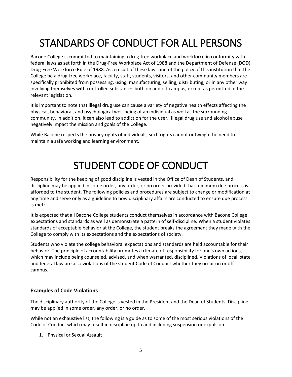# <span id="page-4-0"></span>STANDARDS OF CONDUCT FOR ALL PERSONS

Bacone College is committed to maintaining a drug-free workplace and workforce in conformity with federal laws as set forth in the Drug-Free Workplace Act of 1988 and the Department of Defense (DOD) Drug-Free Workforce Rule of 1988. As a result of these laws and of the policy of this institution that the College be a drug-free workplace, faculty, staff, students, visitors, and other community members are specifically prohibited from possessing, using, manufacturing, selling, distributing, or in any other way involving themselves with controlled substances both on and off campus, except as permitted in the relevant legislation.

It is important to note that illegal drug use can cause a variety of negative health effects affecting the physical, behavioral, and psychological well-being of an individual as well as the surrounding community. In addition, it can also lead to addiction for the user. Illegal drug use and alcohol abuse negatively impact the mission and goals of the College.

While Bacone respects the privacy rights of individuals, such rights cannot outweigh the need to maintain a safe working and learning environment.

# STUDENT CODE OF CONDUCT

<span id="page-4-1"></span>Responsibility for the keeping of good discipline is vested in the Office of Dean of Students, and discipline may be applied in some order, any order, or no order provided that minimum due process is afforded to the student. The following policies and procedures are subject to change or modification at any time and serve only as a guideline to how disciplinary affairs are conducted to ensure due process is met:

It is expected that all Bacone College students conduct themselves in accordance with Bacone College expectations and standards as well as demonstrate a pattern of self-discipline. When a student violates standards of acceptable behavior at the College, the student breaks the agreement they made with the College to comply with its expectations and the expectations of society.

Students who violate the college behavioral expectations and standards are held accountable for their behavior. The principle of accountability promotes a climate of responsibility for one's own actions, which may include being counseled, advised, and when warranted, disciplined. Violations of local, state and federal law are also violations of the student Code of Conduct whether they occur on or off campus.

### <span id="page-4-2"></span>**Examples of Code Violations**

The disciplinary authority of the College is vested in the President and the Dean of Students. Discipline may be applied in some order, any order, or no order.

While not an exhaustive list, the following is a guide as to some of the most serious violations of the Code of Conduct which may result in discipline up to and including suspension or expulsion:

1. Physical or Sexual Assault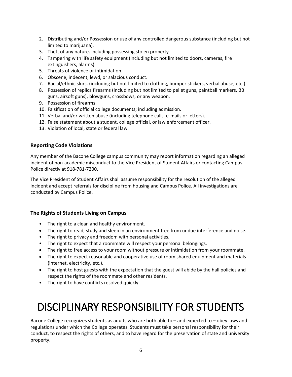- 2. Distributing and/or Possession or use of any controlled dangerous substance (including but not limited to marijuana).
- 3. Theft of any nature. including possessing stolen property
- 4. Tampering with life safety equipment (including but not limited to doors, cameras, fire extinguishers, alarms)
- 5. Threats of violence or intimidation.
- 6. Obscene, indecent, lewd, or salacious conduct.
- 7. Racial/ethnic slurs. (including but not limited to clothing, bumper stickers, verbal abuse, etc.).
- 8. Possession of replica firearms (including but not limited to pellet guns, paintball markers, BB guns, airsoft guns), blowguns, crossbows, or any weapon.
- 9. Possession of firearms.
- 10. Falsification of official college documents; including admission.
- 11. Verbal and/or written abuse (including telephone calls, e-mails or letters).
- 12. False statement about a student, college official, or law enforcement officer.
- 13. Violation of local, state or federal law.

### <span id="page-5-0"></span>**Reporting Code Violations**

Any member of the Bacone College campus community may report information regarding an alleged incident of non-academic misconduct to the Vice President of Student Affairs or contacting Campus Police directly at 918-781-7200.

The Vice President of Student Affairs shall assume responsibility for the resolution of the alleged incident and accept referrals for discipline from housing and Campus Police. All investigations are conducted by Campus Police.

#### <span id="page-5-1"></span>**The Rights of Students Living on Campus**

- The right to a clean and healthy environment.
- The right to read, study and sleep in an environment free from undue interference and noise.
- The right to privacy and freedom with personal activities.
- The right to expect that a roommate will respect your personal belongings.
- The right to free access to your room without pressure or intimidation from your roommate.
- The right to expect reasonable and cooperative use of room shared equipment and materials (internet, electricity, etc.).
- The right to host guests with the expectation that the guest will abide by the hall policies and respect the rights of the roommate and other residents.
- The right to have conflicts resolved quickly.

# <span id="page-5-2"></span>DISCIPLINARY RESPONSIBILITY FOR STUDENTS

Bacone College recognizes students as adults who are both able to – and expected to – obey laws and regulations under which the College operates. Students must take personal responsibility for their conduct, to respect the rights of others, and to have regard for the preservation of state and university property.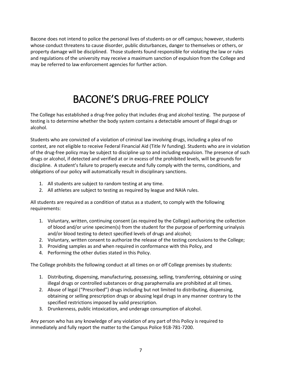Bacone does not intend to police the personal lives of students on or off campus; however, students whose conduct threatens to cause disorder, public disturbances, danger to themselves or others, or property damage will be disciplined. Those students found responsible for violating the law or rules and regulations of the university may receive a maximum sanction of expulsion from the College and may be referred to law enforcement agencies for further action.

# BACONE'S DRUG-FREE POLICY

<span id="page-6-0"></span>The College has established a drug-free policy that includes drug and alcohol testing. The purpose of testing is to determine whether the body system contains a detectable amount of illegal drugs or alcohol.

Students who are convicted of a violation of criminal law involving drugs, including a plea of no contest, are not eligible to receive Federal Financial Aid (Title IV funding). Students who are in violation of the drug-free policy may be subject to discipline up to and including expulsion. The presence of such drugs or alcohol, if detected and verified at or in excess of the prohibited levels, will be grounds for discipline. A student's failure to properly execute and fully comply with the terms, conditions, and obligations of our policy will automatically result in disciplinary sanctions.

- 1. All students are subject to random testing at any time.
- 2. All athletes are subject to testing as required by league and NAIA rules.

All students are required as a condition of status as a student, to comply with the following requirements:

- 1. Voluntary, written, continuing consent (as required by the College) authorizing the collection of blood and/or urine specimen(s) from the student for the purpose of performing urinalysis and/or blood testing to detect specified levels of drugs and alcohol;
- 2. Voluntary, written consent to authorize the release of the testing conclusions to the College;
- 3. Providing samples as and when required in conformance with this Policy, and
- 4. Performing the other duties stated in this Policy.

The College prohibits the following conduct at all times on or off College premises by students:

- 1. Distributing, dispensing, manufacturing, possessing, selling, transferring, obtaining or using illegal drugs or controlled substances or drug paraphernalia are prohibited at all times.
- 2. Abuse of legal ("Prescribed") drugs including but not limited to distributing, dispensing, obtaining or selling prescription drugs or abusing legal drugs in any manner contrary to the specified restrictions imposed by valid prescription.
- 3. Drunkenness, public intoxication, and underage consumption of alcohol.

Any person who has any knowledge of any violation of any part of this Policy is required to immediately and fully report the matter to the Campus Police 918-781-7200.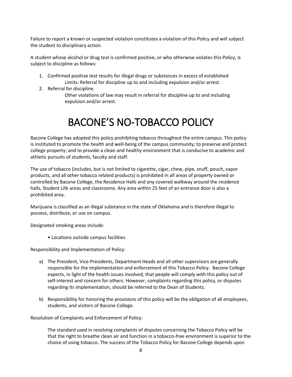Failure to report a known or suspected violation constitutes a violation of this Policy and will subject the student to disciplinary action.

A student whose alcohol or drug test is confirmed positive, or who otherwise violates this Policy, is subject to discipline as follows:

- 1. Confirmed positive test results for illegal drugs or substances in excess of established Limits: Referral for discipline up to and including expulsion and/or arrest.
- 2. Referral for discipline.
	- Other violations of law may result in referral for discipline up to and including expulsion and/or arrest.

### BACONE'S NO-TOBACCO POLICY

<span id="page-7-0"></span>Bacone College has adopted this policy prohibiting tobacco throughout the entire campus. This policy is instituted to promote the health and well-being of the campus community; to preserve and protect college property; and to provide a clean and healthy environment that is conducive to academic and athletic pursuits of students, faculty and staff.

The use of tobacco (includes, but is not limited to cigarette, cigar, chew, pipe, snuff, pouch, vapor products, and all other tobacco related products) is prohibited in all areas of property owned or controlled by Bacone College, the Residence Halls and any covered walkway around the residence halls, Student Life areas and classrooms. Any area within 25 feet of an entrance door is also a prohibited area.

Marijuana is classified as an illegal substance in the state of Oklahoma and is therefore illegal to possess, distribute, or use on campus.

Designated smoking areas include:

• Locations outside campus facilities

Responsibility and Implementation of Policy:

- a) The President, Vice-Presidents, Department Heads and all other supervisors are generally responsible for the implementation and enforcement of this Tobacco Policy. Bacone College expects, in light of the health issues involved, that people will comply with this policy out of self-interest and concern for others. However, complaints regarding this policy, or disputes regarding its implementation, should be referred to the Dean of Students.
- b) Responsibility for honoring the provisions of this policy will be the obligation of all employees, students, and visitors of Bacone College.

Resolution of Complaints and Enforcement of Policy:

The standard used in resolving complaints of disputes concerning the Tobacco Policy will be that the right to breathe clean air and function in a tobacco-free environment is superior to the choice of using tobacco. The success of the Tobacco Policy for Bacone College depends upon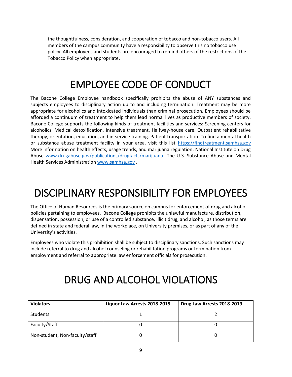the thoughtfulness, consideration, and cooperation of tobacco and non-tobacco users. All members of the campus community have a responsibility to observe this no tobacco use policy. All employees and students are encouraged to remind others of the restrictions of the Tobacco Policy when appropriate.

### EMPLOYEE CODE OF CONDUCT

<span id="page-8-0"></span>The Bacone College Employee handbook specifically prohibits the abuse of ANY substances and subjects employees to disciplinary action up to and including termination. Treatment may be more appropriate for alcoholics and intoxicated individuals than criminal prosecution. Employees should be afforded a continuum of treatment to help them lead normal lives as productive members of society. Bacone College supports the following kinds of treatment facilities and services: Screening centers for alcoholics. Medical detoxification. Intensive treatment. Halfway‐house care. Outpatient rehabilitative therapy, orientation, education, and in‐service training. Patient transportation. To find a mental health or substance abuse treatment facility in your area, visit this list [https://findtreatment.samhsa.gov](https://findtreatment.samhsa.gov/)  More information on health effects, usage trends, and marijuana regulation: National Institute on Drug Abuse [www.drugabuse.gov/publications/drugfacts/marijuana](http://www.drugabuse.gov/publications/drugfacts/marijuana) The U.S. Substance Abuse and Mental Health Services Administration [www.samhsa.gov](http://www.samhsa.gov/) .

# <span id="page-8-1"></span>DISCIPLINARY RESPONSIBILITY FOR EMPLOYEES

The Office of Human Resources is the primary source on campus for enforcement of drug and alcohol policies pertaining to employees. Bacone College prohibits the unlawful manufacture, distribution, dispensation, possession, or use of a controlled substance, illicit drug, and alcohol, as those terms are defined in state and federal law, in the workplace, on University premises, or as part of any of the University's activities.

Employees who violate this prohibition shall be subject to disciplinary sanctions. Such sanctions may include referral to drug and alcohol counseling or rehabilitation programs or termination from employment and referral to appropriate law enforcement officials for prosecution.

### DRUG AND ALCOHOL VIOLATIONS

<span id="page-8-2"></span>

| <b>Violators</b>               | Liquor Law Arrests 2018-2019 | Drug Law Arrests 2018-2019 |
|--------------------------------|------------------------------|----------------------------|
| <b>Students</b>                |                              |                            |
| Faculty/Staff                  |                              |                            |
| Non-student, Non-faculty/staff |                              |                            |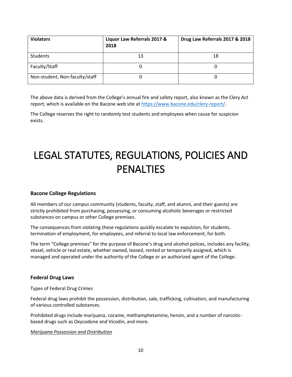| <b>Violators</b>               | Liquor Law Referrals 2017 &<br>2018 | Drug Law Referrals 2017 & 2018 |
|--------------------------------|-------------------------------------|--------------------------------|
| Students                       | 13                                  | 18                             |
| Faculty/Staff                  |                                     |                                |
| Non-student, Non-faculty/staff |                                     |                                |

The above data is derived from the College's annual fire and safety report, also known as the Clery Act report, which is available on the Bacone web site at [https://www.bacone.edu/clery-report/.](https://www.bacone.edu/clery-report/)

The College reserves the right to randomly test students and employees when cause for suspicion exists.

# <span id="page-9-0"></span>LEGAL STATUTES, REGULATIONS, POLICIES AND PENALTIES

#### <span id="page-9-1"></span>**Bacone College Regulations**

All members of our campus community (students, faculty, staff, and alumni, and their guests) are strictly prohibited from purchasing, possessing, or consuming alcoholic beverages or restricted substances on campus or other College premises.

The consequences from violating these regulations quickly escalate to expulsion, for students, termination of employment, for employees, and referral to local law enforcement, for both.

The term "College premises" for the purpose of Bacone's drug and alcohol polices, includes any facility, vessel, vehicle or real estate, whether owned, leased, rented or temporarily assigned, which is managed and operated under the authority of the College or an authorized agent of the College.

#### <span id="page-9-2"></span>**Federal Drug Laws**

Types of Federal Drug Crimes

Federal drug laws prohibit the possession, distribution, sale, trafficking, cultivation, and manufacturing of various controlled substances.

Prohibited drugs include marijuana, cocaine, methamphetamine, heroin, and a number of narcoticbased drugs such as Oxycodone and Vicodin, and more.

#### *Marijuana Possession and Distribution*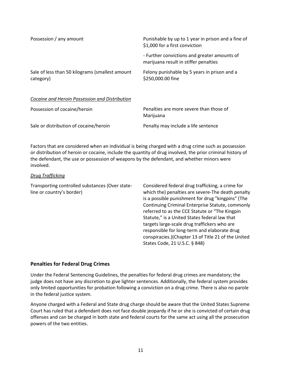| Possession / any amount                                      | Punishable by up to 1 year in prison and a fine of<br>\$1,000 for a first conviction  |  |
|--------------------------------------------------------------|---------------------------------------------------------------------------------------|--|
|                                                              | - Further convictions and greater amounts of<br>marijuana result in stiffer penalties |  |
| Sale of less than 50 kilograms (smallest amount<br>category) | Felony punishable by 5 years in prison and a<br>\$250,000.00 fine                     |  |
| Cocaine and Heroin Possession and Distribution               |                                                                                       |  |
| Possession of cocaine/heroin                                 | Penalties are more severe than those of<br>Marijuana                                  |  |

Sale or distribution of cocaine/heroin Penalty may include a life sentence

Factors that are considered when an individual is being charged with a drug crime such as possession or distribution of heroin or cocaine, include the quantity of drug involved, the prior criminal history of the defendant, the use or possession of weapons by the defendant, and whether minors were involved.

#### *Drug Trafficking*

Transporting controlled substances (Over stateline or country's border)

Considered federal drug trafficking, a crime for which the) penalties are severe-The death penalty is a possible punishment for drug "kingpins" (The Continuing Criminal Enterprise Statute, commonly referred to as the CCE Statute or "The Kingpin Statute," is a United States federal law that targets large-scale drug traffickers who are responsible for long-term and elaborate drug conspiracies.)(Chapter 13 of Title 21 of the United States Code, 21 U.S.C. § 848)

### <span id="page-10-0"></span>**Penalties for Federal Drug Crimes**

Under the Federal Sentencing Guidelines, the penalties for federal drug crimes are mandatory; the judge does not have any discretion to give lighter sentences. Additionally, the federal system provides only limited opportunities for probation following a conviction on a drug crime. There is also no parole in the federal justice system.

Anyone charged with a Federal and State drug charge should be aware that the United States Supreme Court has ruled that a defendant does not face double jeopardy if he or she is convicted of certain drug offenses and can be charged in both state and federal courts for the same act using all the prosecution powers of the two entities.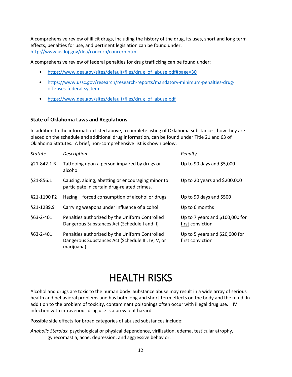A comprehensive review of illicit drugs, including the history of the drug, its uses, short and long term effects, penalties for use, and pertinent legislation can be found under: <http://www.usdoj.gov/dea/concern/concern.htm>

A comprehensive review of federal penalties for drug trafficking can be found under:

- [https://www.dea.gov/sites/default/files/drug\\_of\\_abuse.pdf#page=30](https://www.dea.gov/sites/default/files/drug_of_abuse.pdf#page=30)
- [https://www.ussc.gov/research/research-reports/mandatory-minimum-penalties-drug](https://www.ussc.gov/research/research-reports/mandatory-minimum-penalties-drug-offenses-federal-system)[offenses-federal-system](https://www.ussc.gov/research/research-reports/mandatory-minimum-penalties-drug-offenses-federal-system)
- [https://www.dea.gov/sites/default/files/drug\\_of\\_abuse.pdf](https://www.dea.gov/sites/default/files/drug_of_abuse.pdf)

### <span id="page-11-0"></span>**State of Oklahoma Laws and Regulations**

In addition to the information listed above, a complete listing of Oklahoma substances, how they are placed on the schedule and additional drug information, can be found under Title 21 and 63 of Oklahoma Statutes. A brief, non-comprehensive list is shown below.

| Statute     | Description                                                                                                       | Penalty                                             |
|-------------|-------------------------------------------------------------------------------------------------------------------|-----------------------------------------------------|
| §21-842.1 B | Tattooing upon a person impaired by drugs or<br>alcohol                                                           | Up to 90 days and $$5,000$                          |
| §21-856.1   | Causing, aiding, abetting or encouraging minor to<br>participate in certain drug-related crimes.                  | Up to 20 years and \$200,000                        |
| §21-1190 F2 | Hazing – forced consumption of alcohol or drugs                                                                   | Up to 90 days and \$500                             |
| §21-1289.9  | Carrying weapons under influence of alcohol                                                                       | Up to 6 months                                      |
| \$63-2-401  | Penalties authorized by the Uniform Controlled<br>Dangerous Substances Act (Schedule I and II)                    | Up to 7 years and \$100,000 for<br>first conviction |
| §63-2-401   | Penalties authorized by the Uniform Controlled<br>Dangerous Substances Act (Schedule III, IV, V, or<br>marijuana) | Up to 5 years and \$20,000 for<br>first conviction  |

### HEALTH RISKS

<span id="page-11-1"></span>Alcohol and drugs are toxic to the human body. Substance abuse may result in a wide array of serious health and behavioral problems and has both long and short-term effects on the body and the mind. In addition to the problem of toxicity, contaminant poisonings often occur with illegal drug use. HIV infection with intravenous drug use is a prevalent hazard.

Possible side effects for broad categories of abused substances include:

*Anabolic Steroids*: psychological or physical dependence, virilization, edema, testicular atrophy, gynecomastia, acne, depression, and aggressive behavior.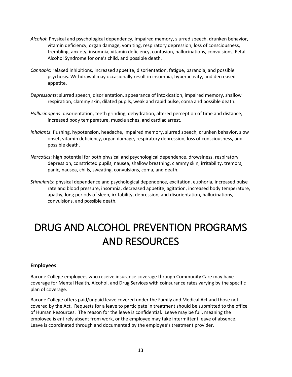- *Alcohol*: Physical and psychological dependency, impaired memory, slurred speech, drunken behavior, vitamin deficiency, organ damage, vomiting, respiratory depression, loss of consciousness, trembling, anxiety, insomnia, vitamin deficiency, confusion, hallucinations, convulsions, Fetal Alcohol Syndrome for one's child, and possible death.
- *Cannabis*: relaxed inhibitions, increased appetite, disorientation, fatigue, paranoia, and possible psychosis. Withdrawal may occasionally result in insomnia, hyperactivity, and decreased appetite.
- *Depressants*: slurred speech, disorientation, appearance of intoxication, impaired memory, shallow respiration, clammy skin, dilated pupils, weak and rapid pulse, coma and possible death.
- *Hallucinogens*: disorientation, teeth grinding, dehydration, altered perception of time and distance, increased body temperature, muscle aches, and cardiac arrest.
- *Inhalants*: flushing, hypotension, headache, impaired memory, slurred speech, drunken behavior, slow onset, vitamin deficiency, organ damage, respiratory depression, loss of consciousness, and possible death.
- *Narcotics*: high potential for both physical and psychological dependence, drowsiness, respiratory depression, constricted pupils, nausea, shallow breathing, clammy skin, irritability, tremors, panic, nausea, chills, sweating, convulsions, coma, and death.
- *Stimulants*: physical dependence and psychological dependence, excitation, euphoria, increased pulse rate and blood pressure, insomnia, decreased appetite, agitation, increased body temperature, apathy, long periods of sleep, irritability, depression, and disorientation, hallucinations, convulsions, and possible death.

# <span id="page-12-0"></span>DRUG AND ALCOHOL PREVENTION PROGRAMS AND RESOURCES

#### <span id="page-12-1"></span>**Employees**

Bacone College employees who receive insurance coverage through Community Care may have coverage for Mental Health, Alcohol, and Drug Services with coinsurance rates varying by the specific plan of coverage.

Bacone College offers paid/unpaid leave covered under the Family and Medical Act and those not covered by the Act. Requests for a leave to participate in treatment should be submitted to the office of Human Resources. The reason for the leave is confidential. Leave may be full, meaning the employee is entirely absent from work, or the employee may take intermittent leave of absence. Leave is coordinated through and documented by the employee's treatment provider.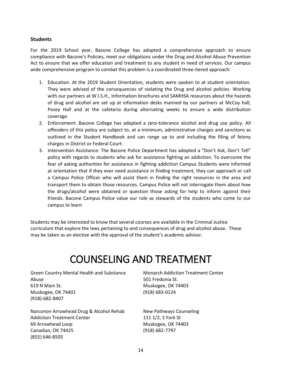#### <span id="page-13-0"></span>**Students**

For the 2019 School year, Bacone College has adopted a comprehensive approach to ensure compliance with Bacone's Policies, meet our obligations under the Drug and Alcohol Abuse Prevention Act to ensure that we offer education and treatment to any student in need of services. Our campus wide comprehensive program to combat this problem is a coordinated three-tiered approach:

- 1. Education. At the 2019 Student Orientation, students were spoken to at student orientation. They were advised of the consequences of violating the Drug and alcohol policies. Working with our partners at W.I.S.H., Information brochures and SAMHSA resources about the hazards of drug and alcohol are set up at information desks manned by our partners at McCoy hall, Posey Hall and at the cafeteria during alternating weeks to ensure a wide distribution coverage.
- 2. Enforcement: Bacone College has adopted a zero-tolerance alcohol and drug use policy. All offenders of this policy are subject to, at a minimum, administrative charges and sanctions as outlined in the Student Handbook and can range up to and including the filing of felony charges in District or Federal Court.
- 3. Intervention Assistance: The Bacone Police Department has adopted a "Don't Ask, Don't Tell" policy with regards to students who ask for assistance fighting an addiction. To overcome the fear of asking authorities for assistance in fighting addiction Campus Students were informed at orientation that if they ever need assistance in finding treatment, they can approach or call a Campus Police Officer who will assist them in finding the right resources in the area and transport them to obtain those resources. Campus Police will not interrogate them about how the drugs/alcohol were obtained or question those asking for help to inform against their friends. Bacone Campus Police value our role as stewards of the students who come to our campus to learn

Students may be interested to know that several courses are available in the Criminal Justice curriculum that explore the laws pertaining to and consequences of drug and alcohol abuse. These may be taken as an elective with the approval of the student's academic advisor.

### COUNSELING AND TREATMENT

<span id="page-13-1"></span>Green Country Mental Health and Substance Abuse 619 N Main St. Muskogee, OK 74401 (918)-682-8407

Narconon Arrowhead Drug & Alcohol Rehab Addiction Treatment Center 69 Arrowhead Loop Canadian, OK 74425 (855) 646-8505

Monarch Addiction Treatment Center 501 Fredonia St. Muskogee, OK 74403 (918) 683-0124

New Pathways Counseling 111 1/2, S York St Muskogee, OK 74403 (918) 682-7797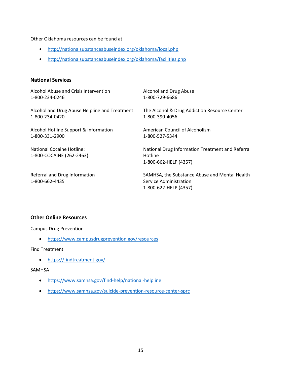Other Oklahoma resources can be found at

- <http://nationalsubstanceabuseindex.org/oklahoma/local.php>
- <http://nationalsubstanceabuseindex.org/oklahoma/facilities.php>

#### <span id="page-14-0"></span>**National Services**

| Alcohol Abuse and Crisis Intervention                 | Alcohol and Drug Abuse                                                                           |
|-------------------------------------------------------|--------------------------------------------------------------------------------------------------|
| 1-800-234-0246                                        | 1-800-729-6686                                                                                   |
| Alcohol and Drug Abuse Helpline and Treatment         | The Alcohol & Drug Addiction Resource Center                                                     |
| 1-800-234-0420                                        | 1-800-390-4056                                                                                   |
| Alcohol Hotline Support & Information                 | American Council of Alcoholism                                                                   |
| 1-800-331-2900                                        | 1-800-527-5344                                                                                   |
| National Cocaine Hotline:<br>1-800-COCAINE (262-2463) | National Drug Information Treatment and Referral<br>Hotline<br>1-800-662-HELP (4357)             |
| Referral and Drug Information<br>1-800-662-4435       | SAMHSA, the Substance Abuse and Mental Health<br>Service Administration<br>1-800-622-HELP (4357) |

### <span id="page-14-1"></span>**Other Online Resources**

Campus Drug Prevention

<https://www.campusdrugprevention.gov/resources>

Find Treatment

<https://findtreatment.gov/>

### SAMHSA

- <https://www.samhsa.gov/find-help/national-helpline>
- <https://www.samhsa.gov/suicide-prevention-resource-center-sprc>